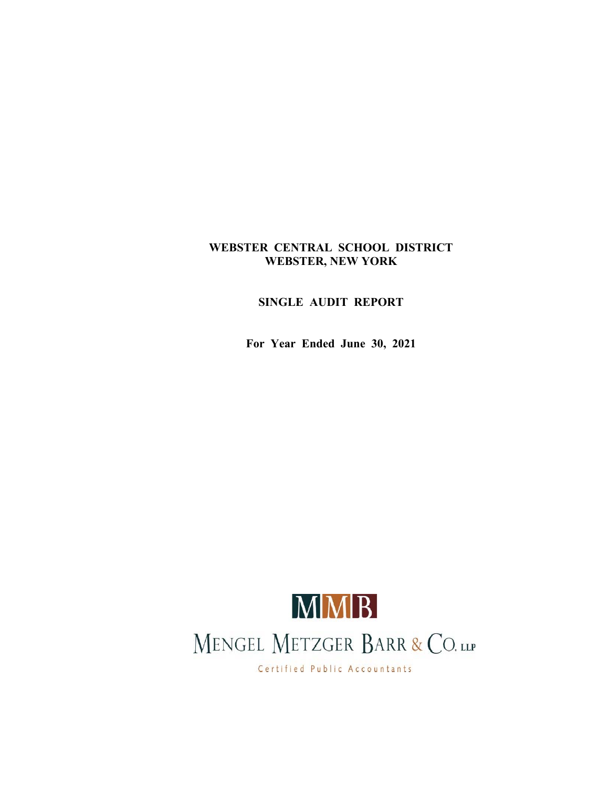## **WEBSTER CENTRAL SCHOOL DISTRICT WEBSTER, NEW YORK**

# **SINGLE AUDIT REPORT**

**For Year Ended June 30, 2021**

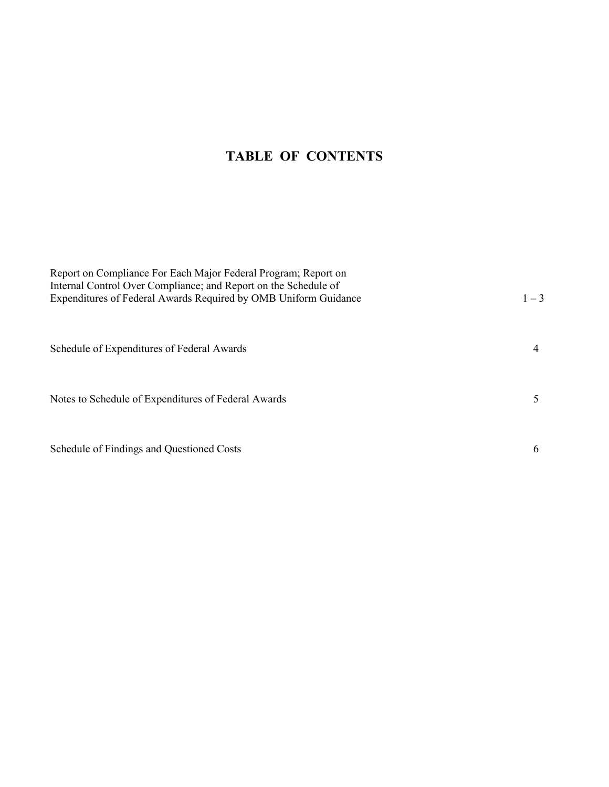# **TABLE OF CONTENTS**

| Report on Compliance For Each Major Federal Program; Report on<br>Internal Control Over Compliance; and Report on the Schedule of<br>Expenditures of Federal Awards Required by OMB Uniform Guidance | $1 - 3$ |  |
|------------------------------------------------------------------------------------------------------------------------------------------------------------------------------------------------------|---------|--|
| Schedule of Expenditures of Federal Awards                                                                                                                                                           |         |  |
| Notes to Schedule of Expenditures of Federal Awards                                                                                                                                                  |         |  |
| Schedule of Findings and Questioned Costs                                                                                                                                                            | 6       |  |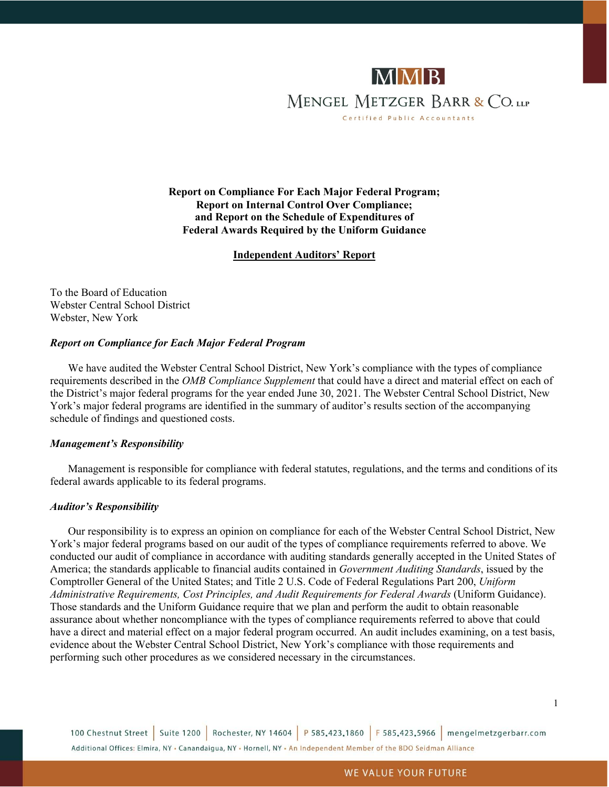

## **Report on Compliance For Each Major Federal Program; Report on Internal Control Over Compliance; and Report on the Schedule of Expenditures of Federal Awards Required by the Uniform Guidance**

#### **Independent Auditors' Report**

To the Board of Education Webster Central School District Webster, New York

#### *Report on Compliance for Each Major Federal Program*

We have audited the Webster Central School District, New York's compliance with the types of compliance requirements described in the *OMB Compliance Supplement* that could have a direct and material effect on each of the District's major federal programs for the year ended June 30, 2021. The Webster Central School District, New York's major federal programs are identified in the summary of auditor's results section of the accompanying schedule of findings and questioned costs.

#### *Management's Responsibility*

Management is responsible for compliance with federal statutes, regulations, and the terms and conditions of its federal awards applicable to its federal programs.

#### *Auditor's Responsibility*

Our responsibility is to express an opinion on compliance for each of the Webster Central School District, New York's major federal programs based on our audit of the types of compliance requirements referred to above. We conducted our audit of compliance in accordance with auditing standards generally accepted in the United States of America; the standards applicable to financial audits contained in *Government Auditing Standards*, issued by the Comptroller General of the United States; and Title 2 U.S. Code of Federal Regulations Part 200, *Uniform Administrative Requirements, Cost Principles, and Audit Requirements for Federal Awards* (Uniform Guidance). Those standards and the Uniform Guidance require that we plan and perform the audit to obtain reasonable assurance about whether noncompliance with the types of compliance requirements referred to above that could have a direct and material effect on a major federal program occurred. An audit includes examining, on a test basis, evidence about the Webster Central School District, New York's compliance with those requirements and performing such other procedures as we considered necessary in the circumstances.

100 Chestnut Street Suite 1200 Rochester, NY 14604 P 585.423.1860 F 585.423.5966 mengelmetzgerbarr.com Additional Offices: Elmira, NY . Canandaigua, NY . Hornell, NY . An Independent Member of the BDO Seidman Alliance

1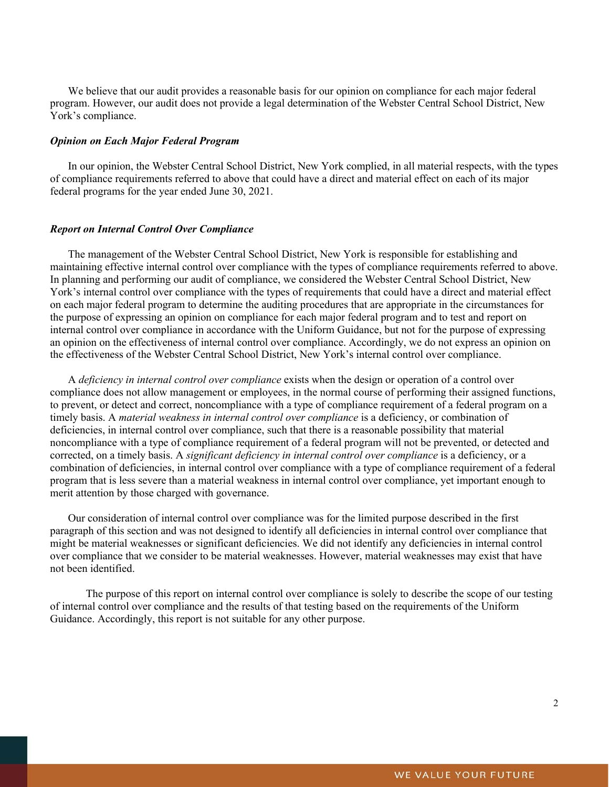We believe that our audit provides a reasonable basis for our opinion on compliance for each major federal program. However, our audit does not provide a legal determination of the Webster Central School District, New York's compliance.

#### *Opinion on Each Major Federal Program*

In our opinion, the Webster Central School District, New York complied, in all material respects, with the types of compliance requirements referred to above that could have a direct and material effect on each of its major federal programs for the year ended June 30, 2021.

#### *Report on Internal Control Over Compliance*

The management of the Webster Central School District, New York is responsible for establishing and maintaining effective internal control over compliance with the types of compliance requirements referred to above. In planning and performing our audit of compliance, we considered the Webster Central School District, New York's internal control over compliance with the types of requirements that could have a direct and material effect on each major federal program to determine the auditing procedures that are appropriate in the circumstances for the purpose of expressing an opinion on compliance for each major federal program and to test and report on internal control over compliance in accordance with the Uniform Guidance, but not for the purpose of expressing an opinion on the effectiveness of internal control over compliance. Accordingly, we do not express an opinion on the effectiveness of the Webster Central School District, New York's internal control over compliance.

A *deficiency in internal control over compliance* exists when the design or operation of a control over compliance does not allow management or employees, in the normal course of performing their assigned functions, to prevent, or detect and correct, noncompliance with a type of compliance requirement of a federal program on a timely basis. A *material weakness in internal control over compliance* is a deficiency, or combination of deficiencies, in internal control over compliance, such that there is a reasonable possibility that material noncompliance with a type of compliance requirement of a federal program will not be prevented, or detected and corrected, on a timely basis. A *significant deficiency in internal control over compliance* is a deficiency, or a combination of deficiencies, in internal control over compliance with a type of compliance requirement of a federal program that is less severe than a material weakness in internal control over compliance, yet important enough to merit attention by those charged with governance.

Our consideration of internal control over compliance was for the limited purpose described in the first paragraph of this section and was not designed to identify all deficiencies in internal control over compliance that might be material weaknesses or significant deficiencies. We did not identify any deficiencies in internal control over compliance that we consider to be material weaknesses. However, material weaknesses may exist that have not been identified.

The purpose of this report on internal control over compliance is solely to describe the scope of our testing of internal control over compliance and the results of that testing based on the requirements of the Uniform Guidance. Accordingly, this report is not suitable for any other purpose.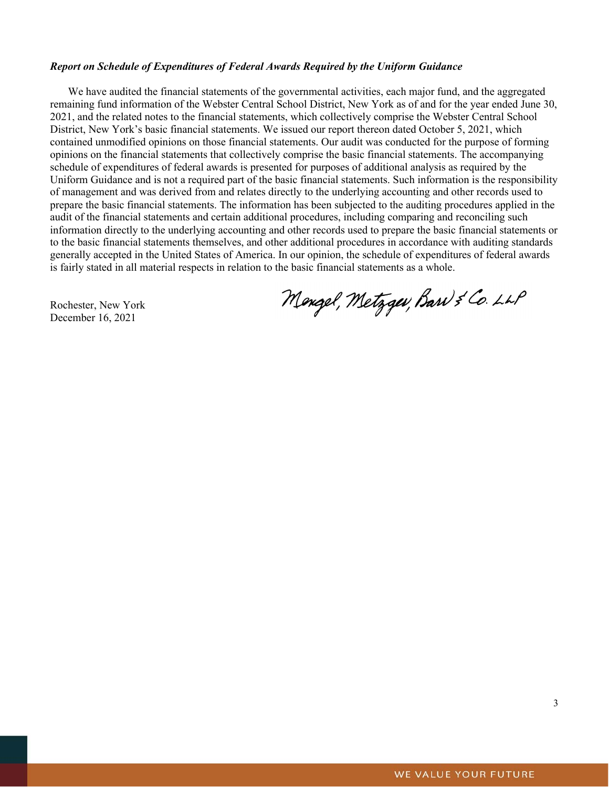#### *Report on Schedule of Expenditures of Federal Awards Required by the Uniform Guidance*

We have audited the financial statements of the governmental activities, each major fund, and the aggregated remaining fund information of the Webster Central School District, New York as of and for the year ended June 30, 2021, and the related notes to the financial statements, which collectively comprise the Webster Central School District, New York's basic financial statements. We issued our report thereon dated October 5, 2021, which contained unmodified opinions on those financial statements. Our audit was conducted for the purpose of forming opinions on the financial statements that collectively comprise the basic financial statements. The accompanying schedule of expenditures of federal awards is presented for purposes of additional analysis as required by the Uniform Guidance and is not a required part of the basic financial statements. Such information is the responsibility of management and was derived from and relates directly to the underlying accounting and other records used to prepare the basic financial statements. The information has been subjected to the auditing procedures applied in the audit of the financial statements and certain additional procedures, including comparing and reconciling such information directly to the underlying accounting and other records used to prepare the basic financial statements or to the basic financial statements themselves, and other additional procedures in accordance with auditing standards generally accepted in the United States of America. In our opinion, the schedule of expenditures of federal awards is fairly stated in all material respects in relation to the basic financial statements as a whole.

Rochester, New York December 16, 2021

Mongel, Metzger, Barr) & Co. LLP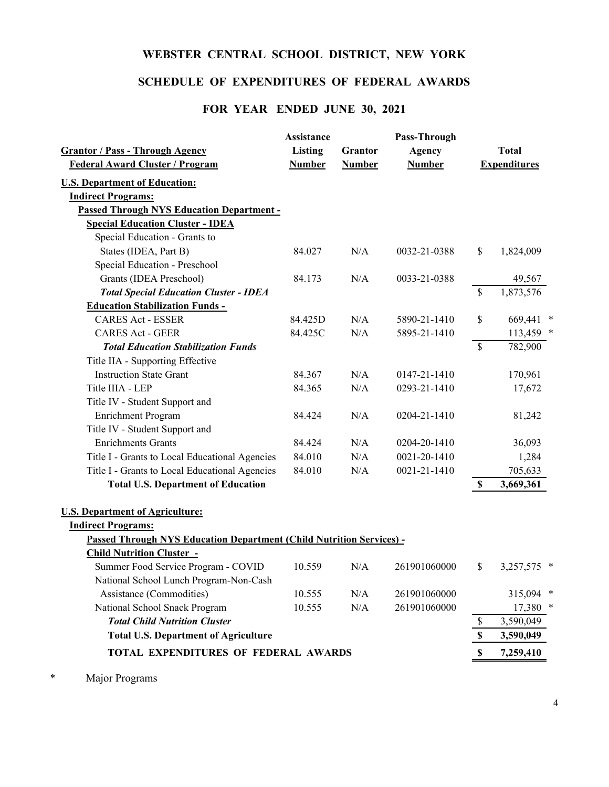# **WEBSTER CENTRAL SCHOOL DISTRICT, NEW YORK**

# **SCHEDULE OF EXPENDITURES OF FEDERAL AWARDS**

# **FOR YEAR ENDED JUNE 30, 2021**

|                                                                             | <b>Assistance</b> |               | Pass-Through  |                     |              |  |
|-----------------------------------------------------------------------------|-------------------|---------------|---------------|---------------------|--------------|--|
| <b>Grantor / Pass - Through Agency</b>                                      | Listing           | Grantor       | <b>Agency</b> |                     | <b>Total</b> |  |
| <b>Federal Award Cluster / Program</b>                                      | <b>Number</b>     | <b>Number</b> | <b>Number</b> | <b>Expenditures</b> |              |  |
| <b>U.S. Department of Education:</b>                                        |                   |               |               |                     |              |  |
| <b>Indirect Programs:</b>                                                   |                   |               |               |                     |              |  |
| <b>Passed Through NYS Education Department -</b>                            |                   |               |               |                     |              |  |
| <b>Special Education Cluster - IDEA</b>                                     |                   |               |               |                     |              |  |
| Special Education - Grants to                                               |                   |               |               |                     |              |  |
| States (IDEA, Part B)                                                       | 84.027            | N/A           | 0032-21-0388  | \$                  | 1,824,009    |  |
| Special Education - Preschool                                               |                   |               |               |                     |              |  |
| Grants (IDEA Preschool)                                                     | 84.173            | N/A           | 0033-21-0388  |                     | 49,567       |  |
| <b>Total Special Education Cluster - IDEA</b>                               |                   |               |               | \$                  | 1,873,576    |  |
| <b>Education Stabilization Funds -</b>                                      |                   |               |               |                     |              |  |
| <b>CARES Act - ESSER</b>                                                    | 84.425D           | N/A           | 5890-21-1410  | \$                  | 669,441 *    |  |
| <b>CARES Act - GEER</b>                                                     | 84.425C           | N/A           | 5895-21-1410  |                     | 113,459 *    |  |
| <b>Total Education Stabilization Funds</b>                                  |                   |               |               | $\mathbb{S}$        | 782,900      |  |
| Title IIA - Supporting Effective                                            |                   |               |               |                     |              |  |
| <b>Instruction State Grant</b>                                              | 84.367            | N/A           | 0147-21-1410  |                     | 170,961      |  |
| Title IIIA - LEP                                                            | 84.365            | N/A           | 0293-21-1410  |                     | 17,672       |  |
| Title IV - Student Support and                                              |                   |               |               |                     |              |  |
| <b>Enrichment Program</b>                                                   | 84.424            | N/A           | 0204-21-1410  |                     | 81,242       |  |
| Title IV - Student Support and                                              |                   |               |               |                     |              |  |
| <b>Enrichments Grants</b>                                                   | 84.424            | N/A           | 0204-20-1410  |                     | 36,093       |  |
| Title I - Grants to Local Educational Agencies                              | 84.010            | N/A           | 0021-20-1410  |                     | 1,284        |  |
| Title I - Grants to Local Educational Agencies                              | 84.010            | N/A           | 0021-21-1410  |                     | 705,633      |  |
| <b>Total U.S. Department of Education</b>                                   |                   |               |               | $\mathbb S$         | 3,669,361    |  |
| <b>U.S. Department of Agriculture:</b>                                      |                   |               |               |                     |              |  |
| <b>Indirect Programs:</b>                                                   |                   |               |               |                     |              |  |
| <b>Passed Through NYS Education Department (Child Nutrition Services) -</b> |                   |               |               |                     |              |  |
| <b>Child Nutrition Cluster -</b>                                            |                   |               |               |                     |              |  |
| Summer Food Service Program - COVID                                         | 10.559            | N/A           | 261901060000  | \$                  | 3,257,575 *  |  |
| National School Lunch Program-Non-Cash                                      |                   |               |               |                     |              |  |
| Assistance (Commodities)                                                    | 10.555            | N/A           | 261901060000  |                     | 315,094 *    |  |
| National School Snack Program                                               | 10.555            | N/A           | 261901060000  |                     | 17,380 *     |  |
| <b>Total Child Nutrition Cluster</b>                                        |                   |               |               | \$                  | 3,590,049    |  |
| <b>Total U.S. Department of Agriculture</b>                                 |                   |               |               | $\mathbb S$         | 3,590,049    |  |
| TOTAL EXPENDITURES OF FEDERAL AWARDS                                        |                   |               |               | \$                  | 7,259,410    |  |

\* Major Programs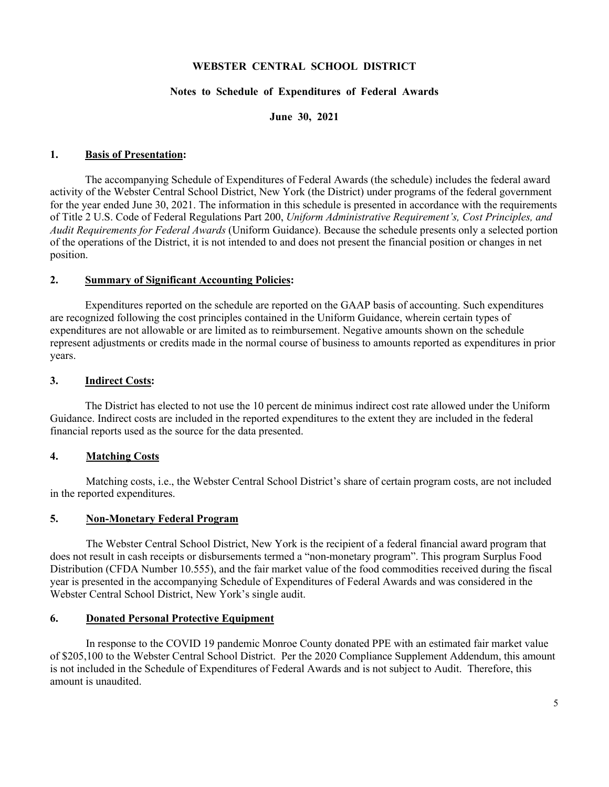## **WEBSTER CENTRAL SCHOOL DISTRICT**

## **Notes to Schedule of Expenditures of Federal Awards**

#### **June 30, 2021**

#### **1. Basis of Presentation:**

The accompanying Schedule of Expenditures of Federal Awards (the schedule) includes the federal award activity of the Webster Central School District, New York (the District) under programs of the federal government for the year ended June 30, 2021. The information in this schedule is presented in accordance with the requirements of Title 2 U.S. Code of Federal Regulations Part 200, *Uniform Administrative Requirement's, Cost Principles, and Audit Requirements for Federal Awards* (Uniform Guidance). Because the schedule presents only a selected portion of the operations of the District, it is not intended to and does not present the financial position or changes in net position.

#### **2. Summary of Significant Accounting Policies:**

Expenditures reported on the schedule are reported on the GAAP basis of accounting. Such expenditures are recognized following the cost principles contained in the Uniform Guidance, wherein certain types of expenditures are not allowable or are limited as to reimbursement. Negative amounts shown on the schedule represent adjustments or credits made in the normal course of business to amounts reported as expenditures in prior years.

#### **3. Indirect Costs:**

The District has elected to not use the 10 percent de minimus indirect cost rate allowed under the Uniform Guidance. Indirect costs are included in the reported expenditures to the extent they are included in the federal financial reports used as the source for the data presented.

## **4. Matching Costs**

Matching costs, i.e., the Webster Central School District's share of certain program costs, are not included in the reported expenditures.

## **5. Non-Monetary Federal Program**

The Webster Central School District, New York is the recipient of a federal financial award program that does not result in cash receipts or disbursements termed a "non-monetary program". This program Surplus Food Distribution (CFDA Number 10.555), and the fair market value of the food commodities received during the fiscal year is presented in the accompanying Schedule of Expenditures of Federal Awards and was considered in the Webster Central School District, New York's single audit.

## **6. Donated Personal Protective Equipment**

In response to the COVID 19 pandemic Monroe County donated PPE with an estimated fair market value of \$205,100 to the Webster Central School District. Per the 2020 Compliance Supplement Addendum, this amount is not included in the Schedule of Expenditures of Federal Awards and is not subject to Audit. Therefore, this amount is unaudited.